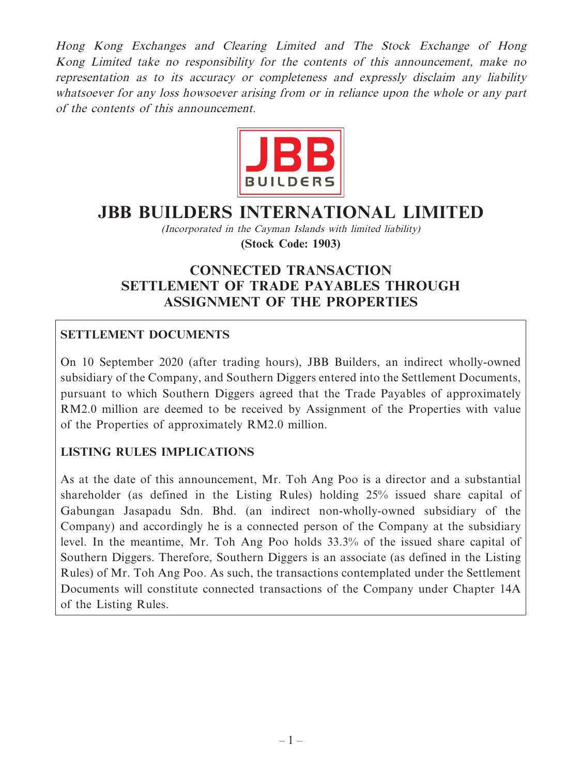Hong Kong Exchanges and Clearing Limited and The Stock Exchange of Hong Kong Limited take no responsibility for the contents of this announcement, make no representation as to its accuracy or completeness and expressly disclaim any liability whatsoever for any loss howsoever arising from or in reliance upon the whole or any part of the contents of this announcement.



# **JBB BUILDERS INTERNATIONAL LIMITED**

(Incorporated in the Cayman Islands with limited liability)

**(Stock Code: 1903)**

# **CONNECTED TRANSACTION SETTLEMENT OF TRADE PAYABLES THROUGH ASSIGNMENT OF THE PROPERTIES**

# **SETTLEMENT DOCUMENTS**

On 10 September 2020 (after trading hours), JBB Builders, an indirect wholly-owned subsidiary of the Company, and Southern Diggers entered into the Settlement Documents, pursuant to which Southern Diggers agreed that the Trade Payables of approximately RM2.0 million are deemed to be received by Assignment of the Properties with value of the Properties of approximately RM2.0 million.

# **LISTING RULES IMPLICATIONS**

As at the date of this announcement, Mr. Toh Ang Poo is a director and a substantial shareholder (as defined in the Listing Rules) holding 25% issued share capital of Gabungan Jasapadu Sdn. Bhd. (an indirect non-wholly-owned subsidiary of the Company) and accordingly he is a connected person of the Company at the subsidiary level. In the meantime, Mr. Toh Ang Poo holds 33.3% of the issued share capital of Southern Diggers. Therefore, Southern Diggers is an associate (as defined in the Listing Rules) of Mr. Toh Ang Poo. As such, the transactions contemplated under the Settlement Documents will constitute connected transactions of the Company under Chapter 14A of the Listing Rules.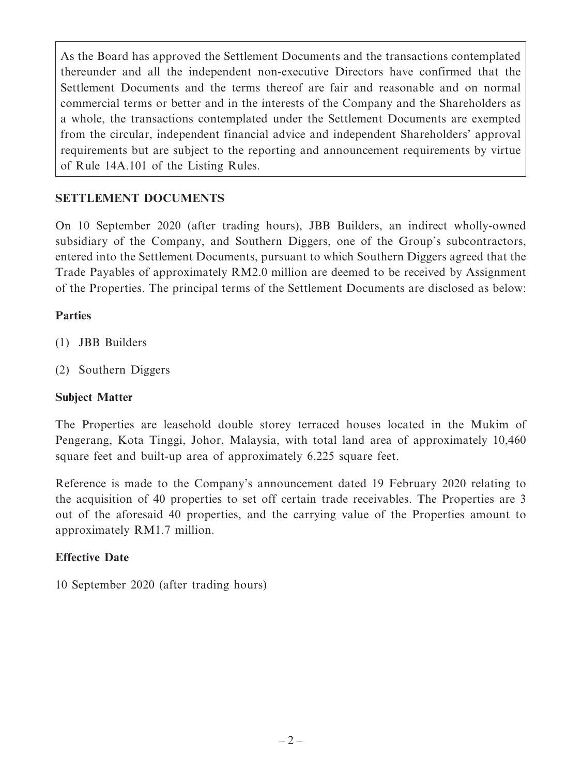As the Board has approved the Settlement Documents and the transactions contemplated thereunder and all the independent non-executive Directors have confirmed that the Settlement Documents and the terms thereof are fair and reasonable and on normal commercial terms or better and in the interests of the Company and the Shareholders as a whole, the transactions contemplated under the Settlement Documents are exempted from the circular, independent financial advice and independent Shareholders' approval requirements but are subject to the reporting and announcement requirements by virtue of Rule 14A.101 of the Listing Rules.

# **SETTLEMENT DOCUMENTS**

On 10 September 2020 (after trading hours), JBB Builders, an indirect wholly-owned subsidiary of the Company, and Southern Diggers, one of the Group's subcontractors, entered into the Settlement Documents, pursuant to which Southern Diggers agreed that the Trade Payables of approximately RM2.0 million are deemed to be received by Assignment of the Properties. The principal terms of the Settlement Documents are disclosed as below:

#### **Parties**

- (1) JBB Builders
- (2) Southern Diggers

## **Subject Matter**

The Properties are leasehold double storey terraced houses located in the Mukim of Pengerang, Kota Tinggi, Johor, Malaysia, with total land area of approximately 10,460 square feet and built-up area of approximately 6,225 square feet.

Reference is made to the Company's announcement dated 19 February 2020 relating to the acquisition of 40 properties to set off certain trade receivables. The Properties are 3 out of the aforesaid 40 properties, and the carrying value of the Properties amount to approximately RM1.7 million.

## **Effective Date**

10 September 2020 (after trading hours)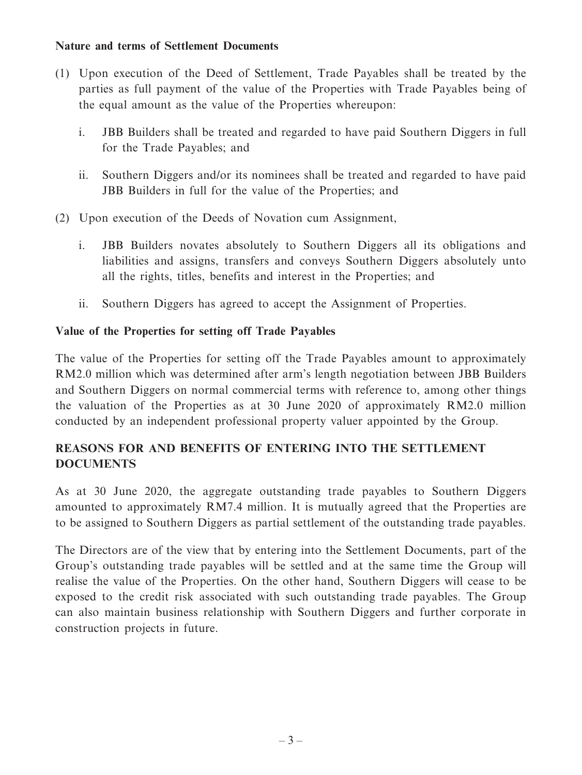#### **Nature and terms of Settlement Documents**

- (1) Upon execution of the Deed of Settlement, Trade Payables shall be treated by the parties as full payment of the value of the Properties with Trade Payables being of the equal amount as the value of the Properties whereupon:
	- i. JBB Builders shall be treated and regarded to have paid Southern Diggers in full for the Trade Payables; and
	- ii. Southern Diggers and/or its nominees shall be treated and regarded to have paid JBB Builders in full for the value of the Properties; and
- (2) Upon execution of the Deeds of Novation cum Assignment,
	- i. JBB Builders novates absolutely to Southern Diggers all its obligations and liabilities and assigns, transfers and conveys Southern Diggers absolutely unto all the rights, titles, benefits and interest in the Properties; and
	- ii. Southern Diggers has agreed to accept the Assignment of Properties.

## **Value of the Properties for setting off Trade Payables**

The value of the Properties for setting off the Trade Payables amount to approximately RM2.0 million which was determined after arm's length negotiation between JBB Builders and Southern Diggers on normal commercial terms with reference to, among other things the valuation of the Properties as at 30 June 2020 of approximately RM2.0 million conducted by an independent professional property valuer appointed by the Group.

# **REASONS FOR AND BENEFITS OF ENTERING INTO THE SETTLEMENT DOCUMENTS**

As at 30 June 2020, the aggregate outstanding trade payables to Southern Diggers amounted to approximately RM7.4 million. It is mutually agreed that the Properties are to be assigned to Southern Diggers as partial settlement of the outstanding trade payables.

The Directors are of the view that by entering into the Settlement Documents, part of the Group's outstanding trade payables will be settled and at the same time the Group will realise the value of the Properties. On the other hand, Southern Diggers will cease to be exposed to the credit risk associated with such outstanding trade payables. The Group can also maintain business relationship with Southern Diggers and further corporate in construction projects in future.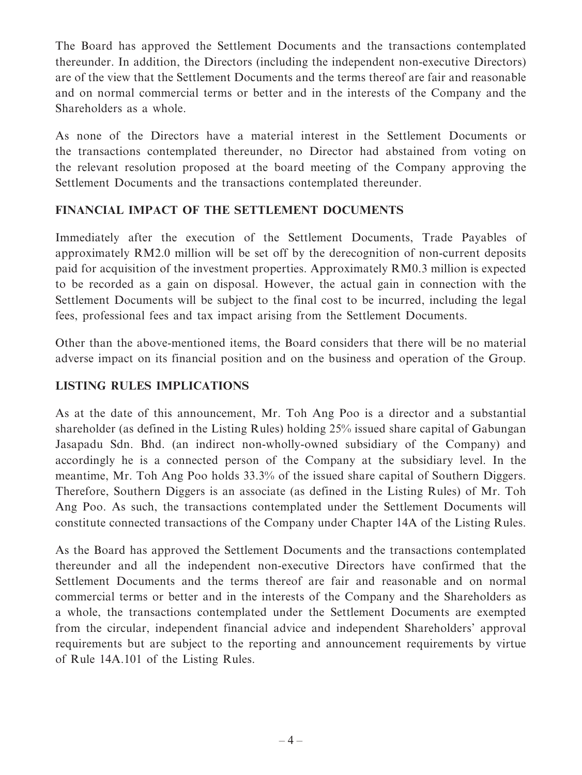The Board has approved the Settlement Documents and the transactions contemplated thereunder. In addition, the Directors (including the independent non-executive Directors) are of the view that the Settlement Documents and the terms thereof are fair and reasonable and on normal commercial terms or better and in the interests of the Company and the Shareholders as a whole.

As none of the Directors have a material interest in the Settlement Documents or the transactions contemplated thereunder, no Director had abstained from voting on the relevant resolution proposed at the board meeting of the Company approving the Settlement Documents and the transactions contemplated thereunder.

## **FINANCIAL IMPACT OF THE SETTLEMENT DOCUMENTS**

Immediately after the execution of the Settlement Documents, Trade Payables of approximately RM2.0 million will be set off by the derecognition of non-current deposits paid for acquisition of the investment properties. Approximately RM0.3 million is expected to be recorded as a gain on disposal. However, the actual gain in connection with the Settlement Documents will be subject to the final cost to be incurred, including the legal fees, professional fees and tax impact arising from the Settlement Documents.

Other than the above-mentioned items, the Board considers that there will be no material adverse impact on its financial position and on the business and operation of the Group.

### **LISTING RULES IMPLICATIONS**

As at the date of this announcement, Mr. Toh Ang Poo is a director and a substantial shareholder (as defined in the Listing Rules) holding 25% issued share capital of Gabungan Jasapadu Sdn. Bhd. (an indirect non-wholly-owned subsidiary of the Company) and accordingly he is a connected person of the Company at the subsidiary level. In the meantime, Mr. Toh Ang Poo holds 33.3% of the issued share capital of Southern Diggers. Therefore, Southern Diggers is an associate (as defined in the Listing Rules) of Mr. Toh Ang Poo. As such, the transactions contemplated under the Settlement Documents will constitute connected transactions of the Company under Chapter 14A of the Listing Rules.

As the Board has approved the Settlement Documents and the transactions contemplated thereunder and all the independent non-executive Directors have confirmed that the Settlement Documents and the terms thereof are fair and reasonable and on normal commercial terms or better and in the interests of the Company and the Shareholders as a whole, the transactions contemplated under the Settlement Documents are exempted from the circular, independent financial advice and independent Shareholders' approval requirements but are subject to the reporting and announcement requirements by virtue of Rule 14A.101 of the Listing Rules.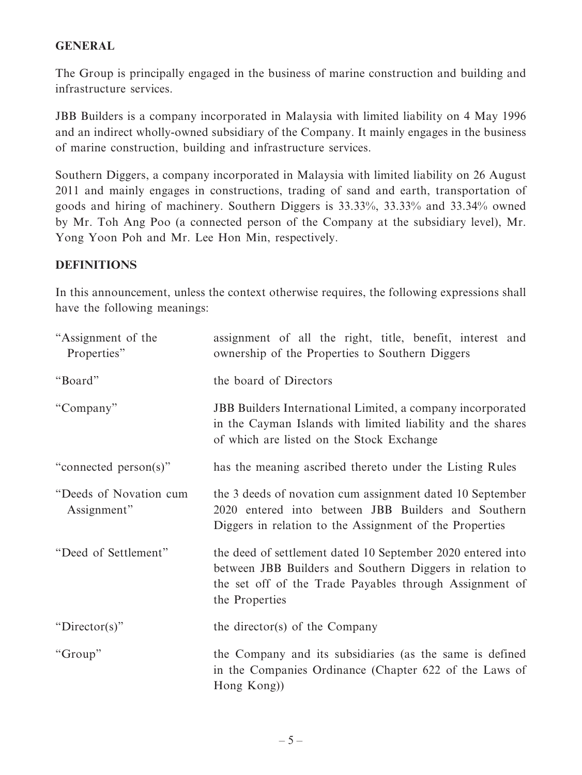#### **GENERAL**

The Group is principally engaged in the business of marine construction and building and infrastructure services.

JBB Builders is a company incorporated in Malaysia with limited liability on 4 May 1996 and an indirect wholly-owned subsidiary of the Company. It mainly engages in the business of marine construction, building and infrastructure services.

Southern Diggers, a company incorporated in Malaysia with limited liability on 26 August 2011 and mainly engages in constructions, trading of sand and earth, transportation of goods and hiring of machinery. Southern Diggers is 33.33%, 33.33% and 33.34% owned by Mr. Toh Ang Poo (a connected person of the Company at the subsidiary level), Mr. Yong Yoon Poh and Mr. Lee Hon Min, respectively.

#### **DEFINITIONS**

In this announcement, unless the context otherwise requires, the following expressions shall have the following meanings:

| "Assignment of the<br>Properties"     | assignment of all the right, title, benefit, interest and<br>ownership of the Properties to Southern Diggers                                                                                         |
|---------------------------------------|------------------------------------------------------------------------------------------------------------------------------------------------------------------------------------------------------|
| "Board"                               | the board of Directors                                                                                                                                                                               |
| "Company"                             | JBB Builders International Limited, a company incorporated<br>in the Cayman Islands with limited liability and the shares<br>of which are listed on the Stock Exchange                               |
| "connected person(s)"                 | has the meaning ascribed thereto under the Listing Rules                                                                                                                                             |
| "Deeds of Novation cum<br>Assignment" | the 3 deeds of novation cum assignment dated 10 September<br>2020 entered into between JBB Builders and Southern<br>Diggers in relation to the Assignment of the Properties                          |
| "Deed of Settlement"                  | the deed of settlement dated 10 September 2020 entered into<br>between JBB Builders and Southern Diggers in relation to<br>the set off of the Trade Payables through Assignment of<br>the Properties |
| "Director(s)"                         | the director(s) of the Company                                                                                                                                                                       |
| "Group"                               | the Company and its subsidiaries (as the same is defined<br>in the Companies Ordinance (Chapter 622 of the Laws of<br>Hong Kong)                                                                     |